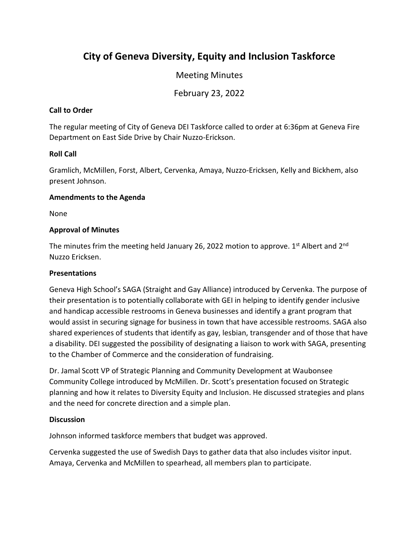# **City of Geneva Diversity, Equity and Inclusion Taskforce**

## Meeting Minutes

February 23, 2022

### **Call to Order**

The regular meeting of City of Geneva DEI Taskforce called to order at 6:36pm at Geneva Fire Department on East Side Drive by Chair Nuzzo-Erickson.

#### **Roll Call**

Gramlich, McMillen, Forst, Albert, Cervenka, Amaya, Nuzzo-Ericksen, Kelly and Bickhem, also present Johnson.

#### **Amendments to the Agenda**

None

#### **Approval of Minutes**

The minutes frim the meeting held January 26, 2022 motion to approve.  $1<sup>st</sup>$  Albert and  $2<sup>nd</sup>$ Nuzzo Ericksen.

### **Presentations**

Geneva High School's SAGA (Straight and Gay Alliance) introduced by Cervenka. The purpose of their presentation is to potentially collaborate with GEI in helping to identify gender inclusive and handicap accessible restrooms in Geneva businesses and identify a grant program that would assist in securing signage for business in town that have accessible restrooms. SAGA also shared experiences of students that identify as gay, lesbian, transgender and of those that have a disability. DEI suggested the possibility of designating a liaison to work with SAGA, presenting to the Chamber of Commerce and the consideration of fundraising.

Dr. Jamal Scott VP of Strategic Planning and Community Development at Waubonsee Community College introduced by McMillen. Dr. Scott's presentation focused on Strategic planning and how it relates to Diversity Equity and Inclusion. He discussed strategies and plans and the need for concrete direction and a simple plan.

#### **Discussion**

Johnson informed taskforce members that budget was approved.

Cervenka suggested the use of Swedish Days to gather data that also includes visitor input. Amaya, Cervenka and McMillen to spearhead, all members plan to participate.